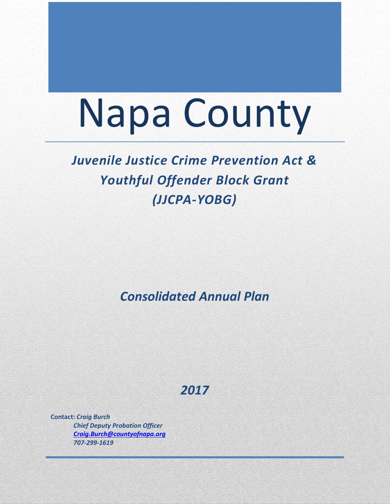# Napa County

# *Juvenile Justice Crime Prevention Act & Youthful Offender Block Grant (JJCPA-YOBG)*

*Consolidated Annual Plan*

*2017*

**Contact:** *Craig Burch Chief Deputy Probation Officer [Craig.Burch@countyofnapa.org](mailto:Craig.Burch@countyofnapa.org) 707-299-1619*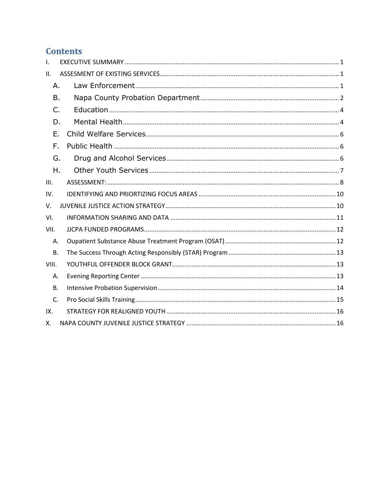# **Contents**

| $\mathsf{L}$ |    |  |  |  |  |  |
|--------------|----|--|--|--|--|--|
| II.          |    |  |  |  |  |  |
| A.           |    |  |  |  |  |  |
| Β.           |    |  |  |  |  |  |
| C.           |    |  |  |  |  |  |
| D.           |    |  |  |  |  |  |
|              | Ε. |  |  |  |  |  |
| F.           |    |  |  |  |  |  |
| G.           |    |  |  |  |  |  |
| Η.           |    |  |  |  |  |  |
| III.         |    |  |  |  |  |  |
| IV.          |    |  |  |  |  |  |
| $V_{\cdot}$  |    |  |  |  |  |  |
| VI.          |    |  |  |  |  |  |
| VII.         |    |  |  |  |  |  |
| Α.           |    |  |  |  |  |  |
| <b>B.</b>    |    |  |  |  |  |  |
| VIII.        |    |  |  |  |  |  |
| Α.           |    |  |  |  |  |  |
| <b>B.</b>    |    |  |  |  |  |  |
| C.           |    |  |  |  |  |  |
| IX.          |    |  |  |  |  |  |
| Χ.           |    |  |  |  |  |  |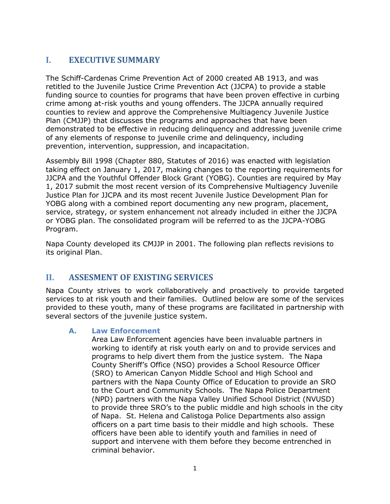# <span id="page-2-0"></span>**I. EXECUTIVE SUMMARY**

The Schiff-Cardenas Crime Prevention Act of 2000 created AB 1913, and was retitled to the Juvenile Justice Crime Prevention Act (JJCPA) to provide a stable funding source to counties for programs that have been proven effective in curbing crime among at-risk youths and young offenders. The JJCPA annually required counties to review and approve the Comprehensive Multiagency Juvenile Justice Plan (CMJJP) that discusses the programs and approaches that have been demonstrated to be effective in reducing delinquency and addressing juvenile crime of any elements of response to juvenile crime and delinquency, including prevention, intervention, suppression, and incapacitation.

Assembly Bill 1998 (Chapter 880, Statutes of 2016) was enacted with legislation taking effect on January 1, 2017, making changes to the reporting requirements for JJCPA and the Youthful Offender Block Grant (YOBG). Counties are required by May 1, 2017 submit the most recent version of its Comprehensive Multiagency Juvenile Justice Plan for JJCPA and its most recent Juvenile Justice Development Plan for YOBG along with a combined report documenting any new program, placement, service, strategy, or system enhancement not already included in either the JJCPA or YOBG plan. The consolidated program will be referred to as the JJCPA-YOBG Program.

Napa County developed its CMJJP in 2001. The following plan reflects revisions to its original Plan.

## <span id="page-2-1"></span>**II. ASSESMENT OF EXISTING SERVICES**

Napa County strives to work collaboratively and proactively to provide targeted services to at risk youth and their families. Outlined below are some of the services provided to these youth, many of these programs are facilitated in partnership with several sectors of the juvenile justice system.

#### <span id="page-2-2"></span>**A. Law Enforcement**

Area Law Enforcement agencies have been invaluable partners in working to identify at risk youth early on and to provide services and programs to help divert them from the justice system. The Napa County Sheriff's Office (NSO) provides a School Resource Officer (SRO) to American Canyon Middle School and High School and partners with the Napa County Office of Education to provide an SRO to the Court and Community Schools. The Napa Police Department (NPD) partners with the Napa Valley Unified School District (NVUSD) to provide three SRO's to the public middle and high schools in the city of Napa. St. Helena and Calistoga Police Departments also assign officers on a part time basis to their middle and high schools. These officers have been able to identify youth and families in need of support and intervene with them before they become entrenched in criminal behavior.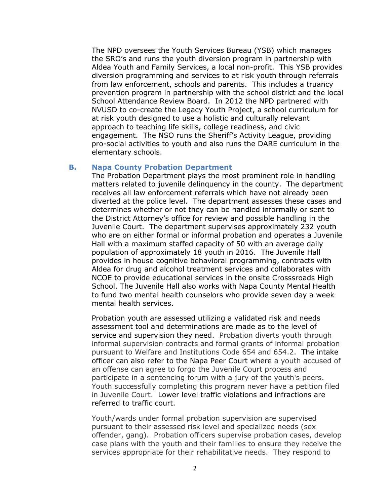The NPD oversees the Youth Services Bureau (YSB) which manages the SRO's and runs the youth diversion program in partnership with Aldea Youth and Family Services, a local non-profit. This YSB provides diversion programming and services to at risk youth through referrals from law enforcement, schools and parents. This includes a truancy prevention program in partnership with the school district and the local School Attendance Review Board. In 2012 the NPD partnered with NVUSD to co-create the Legacy Youth Project, a school curriculum for at risk youth designed to use a holistic and culturally relevant approach to teaching life skills, college readiness, and civic engagement. The NSO runs the Sheriff's Activity League, providing pro-social activities to youth and also runs the DARE curriculum in the elementary schools.

#### <span id="page-3-0"></span>**B. Napa County Probation Department**

The Probation Department plays the most prominent role in handling matters related to juvenile delinquency in the county. The department receives all law enforcement referrals which have not already been diverted at the police level. The department assesses these cases and determines whether or not they can be handled informally or sent to the District Attorney's office for review and possible handling in the Juvenile Court. The department supervises approximately 232 youth who are on either formal or informal probation and operates a Juvenile Hall with a maximum staffed capacity of 50 with an average daily population of approximately 18 youth in 2016. The Juvenile Hall provides in house cognitive behavioral programming, contracts with Aldea for drug and alcohol treatment services and collaborates with NCOE to provide educational services in the onsite Crosssroads High School. The Juvenile Hall also works with Napa County Mental Health to fund two mental health counselors who provide seven day a week mental health services.

Probation youth are assessed utilizing a validated risk and needs assessment tool and determinations are made as to the level of service and supervision they need. Probation diverts youth through informal supervision contracts and formal grants of informal probation pursuant to Welfare and Institutions Code 654 and 654.2. The intake officer can also refer to the Napa Peer Court where a youth accused of an offense can agree to forgo the Juvenile Court process and participate in a sentencing forum with a jury of the youth's peers. Youth successfully completing this program never have a petition filed in Juvenile Court. Lower level traffic violations and infractions are referred to traffic court.

Youth/wards under formal probation supervision are supervised pursuant to their assessed risk level and specialized needs (sex offender, gang). Probation officers supervise probation cases, develop case plans with the youth and their families to ensure they receive the services appropriate for their rehabilitative needs. They respond to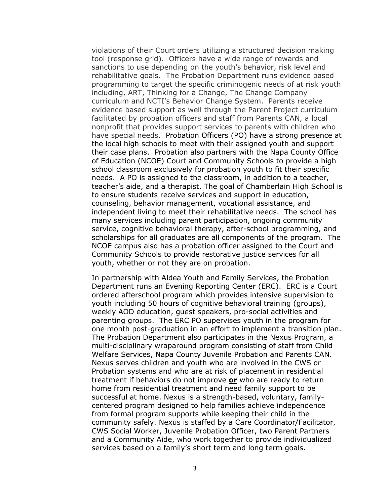violations of their Court orders utilizing a structured decision making tool (response grid). Officers have a wide range of rewards and sanctions to use depending on the youth's behavior, risk level and rehabilitative goals. The Probation Department runs evidence based programming to target the specific criminogenic needs of at risk youth including, ART, Thinking for a Change, The Change Company curriculum and NCTI's Behavior Change System. Parents receive evidence based support as well through the Parent Project curriculum facilitated by probation officers and staff from Parents CAN, a local nonprofit that provides support services to parents with children who have special needs. Probation Officers (PO) have a strong presence at the local high schools to meet with their assigned youth and support their case plans. Probation also partners with the Napa County Office of Education (NCOE) Court and Community Schools to provide a high school classroom exclusively for probation youth to fit their specific needs. A PO is assigned to the classroom, in addition to a teacher, teacher's aide, and a therapist. The goal of Chamberlain High School is to ensure students receive services and support in education, counseling, behavior management, vocational assistance, and independent living to meet their rehabilitative needs. The school has many services including parent participation, ongoing community service, cognitive behavioral therapy, after-school programming, and scholarships for all graduates are all components of the program. The NCOE campus also has a probation officer assigned to the Court and Community Schools to provide restorative justice services for all youth, whether or not they are on probation.

In partnership with Aldea Youth and Family Services, the Probation Department runs an Evening Reporting Center (ERC). ERC is a Court ordered afterschool program which provides intensive supervision to youth including 50 hours of cognitive behavioral training (groups), weekly AOD education, guest speakers, pro-social activities and parenting groups. The ERC PO supervises youth in the program for one month post-graduation in an effort to implement a transition plan. The Probation Department also participates in the Nexus Program, a multi-disciplinary wraparound program consisting of staff from Child Welfare Services, Napa County Juvenile Probation and Parents CAN. Nexus serves children and youth who are involved in the CWS or Probation systems and who are at risk of placement in residential treatment if behaviors do not improve **or** who are ready to return home from residential treatment and need family support to be successful at home. Nexus is a strength-based, voluntary, familycentered program designed to help families achieve independence from formal program supports while keeping their child in the community safely. Nexus is staffed by a Care Coordinator/Facilitator, CWS Social Worker, Juvenile Probation Officer, two Parent Partners and a Community Aide, who work together to provide individualized services based on a family's short term and long term goals.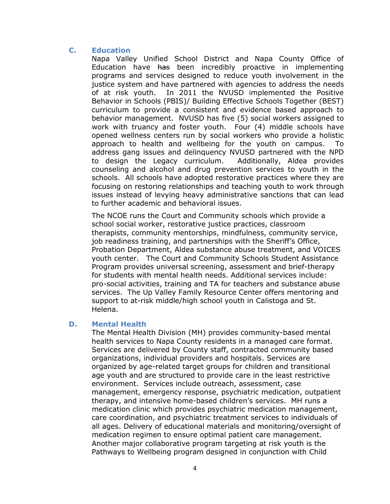#### <span id="page-5-0"></span>**C. Education**

Napa Valley Unified School District and Napa County Office of Education have has been incredibly proactive in implementing programs and services designed to reduce youth involvement in the justice system and have partnered with agencies to address the needs of at risk youth. In 2011 the NVUSD implemented the Positive Behavior in Schools (PBIS)/ Building Effective Schools Together (BEST) curriculum to provide a consistent and evidence based approach to behavior management. NVUSD has five (5) social workers assigned to work with truancy and foster youth. Four (4) middle schools have opened wellness centers run by social workers who provide a holistic approach to health and wellbeing for the youth on campus. To address gang issues and delinquency NVUSD partnered with the NPD to design the Legacy curriculum. Additionally, Aldea provides counseling and alcohol and drug prevention services to youth in the schools. All schools have adopted restorative practices where they are focusing on restoring relationships and teaching youth to work through issues instead of levying heavy administrative sanctions that can lead to further academic and behavioral issues.

The NCOE runs the Court and Community schools which provide a school social worker, restorative justice practices, classroom therapists, community mentorships, mindfulness, community service, job readiness training, and partnerships with the Sheriff's Office, Probation Department, Aldea substance abuse treatment, and VOICES youth center. The Court and Community Schools Student Assistance Program provides universal screening, assessment and brief-therapy for students with mental health needs. Additional services include: pro-social activities, training and TA for teachers and substance abuse services. The Up Valley Family Resource Center offers mentoring and support to at-risk middle/high school youth in Calistoga and St. Helena.

#### <span id="page-5-1"></span>**D. Mental Health**

The Mental Health Division (MH) provides community-based mental health services to Napa County residents in a managed care format. Services are delivered by County staff, contracted community based organizations, individual providers and hospitals. Services are organized by age-related target groups for children and transitional age youth and are structured to provide care in the least restrictive environment. Services include outreach, assessment, case management, emergency response, psychiatric medication, outpatient therapy, and intensive home-based children's services. MH runs a medication clinic which provides psychiatric medication management, care coordination, and psychiatric treatment services to individuals of all ages. Delivery of educational materials and monitoring/oversight of medication regimen to ensure optimal patient care management. Another major collaborative program targeting at risk youth is the Pathways to Wellbeing program designed in conjunction with Child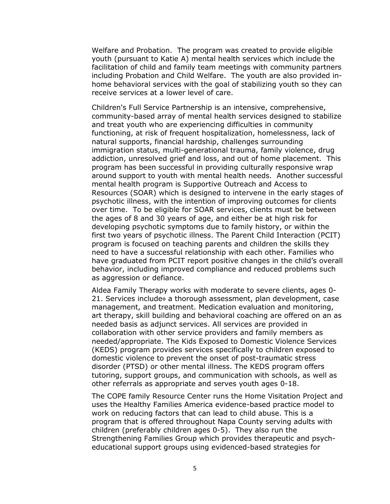Welfare and Probation. The program was created to provide eligible youth (pursuant to Katie A) mental health services which include the facilitation of child and family team meetings with community partners including Probation and Child Welfare. The youth are also provided inhome behavioral services with the goal of stabilizing youth so they can receive services at a lower level of care.

Children's Full Service Partnership is an intensive, comprehensive, community-based array of mental health services designed to stabilize and treat youth who are experiencing difficulties in community functioning, at risk of frequent hospitalization, homelessness, lack of natural supports, financial hardship, challenges surrounding immigration status, multi-generational trauma, family violence, drug addiction, unresolved grief and loss, and out of home placement. This program has been successful in providing culturally responsive wrap around support to youth with mental health needs. Another successful mental health program is Supportive Outreach and Access to Resources (SOAR) which is designed to intervene in the early stages of psychotic illness, with the intention of improving outcomes for clients over time. To be eligible for SOAR services, clients must be between the ages of 8 and 30 years of age, and either be at high risk for developing psychotic symptoms due to family history, or within the first two years of psychotic illness. The Parent Child Interaction (PCIT) program is focused on teaching parents and children the skills they need to have a successful relationship with each other. Families who have graduated from PCIT report positive changes in the child's overall behavior, including improved compliance and reduced problems such as aggression or defiance.

Aldea Family Therapy works with moderate to severe clients, ages 0- 21. Services include a thorough assessment, plan development, case management, and treatment. Medication evaluation and monitoring, art therapy, skill building and behavioral coaching are offered on an as needed basis as adjunct services. All services are provided in collaboration with other service providers and family members as needed/appropriate. The Kids Exposed to Domestic Violence Services (KEDS) program provides services specifically to children exposed to domestic violence to prevent the onset of post-traumatic stress disorder (PTSD) or other mental illness. The KEDS program offers tutoring, support groups, and communication with schools, as well as other referrals as appropriate and serves youth ages 0-18.

The COPE family Resource Center runs the Home Visitation Project and uses the Healthy Families America evidence-based practice model to work on reducing factors that can lead to child abuse. This is a program that is offered throughout Napa County serving adults with children (preferably children ages 0-5). They also run the Strengthening Families Group which provides therapeutic and psycheducational support groups using evidenced-based strategies for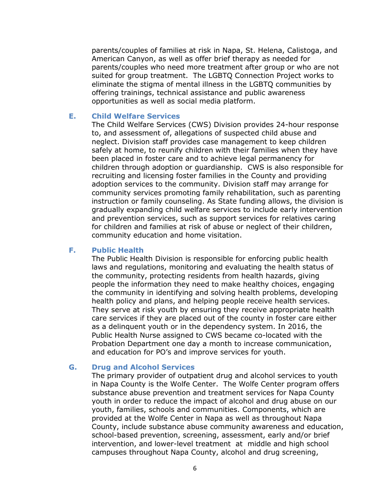parents/couples of families at risk in Napa, St. Helena, Calistoga, and American Canyon, as well as offer brief therapy as needed for parents/couples who need more treatment after group or who are not suited for group treatment. The LGBTQ Connection Project works to eliminate the stigma of mental illness in the LGBTQ communities by offering trainings, technical assistance and public awareness opportunities as well as social media platform.

#### <span id="page-7-0"></span>**E. Child Welfare Services**

The Child Welfare Services (CWS) Division provides 24-hour response to, and assessment of, allegations of suspected child abuse and neglect. Division staff provides case management to keep children safely at home, to reunify children with their families when they have been placed in foster care and to achieve legal permanency for children through adoption or guardianship. CWS is also responsible for recruiting and licensing foster families in the County and providing adoption services to the community. Division staff may arrange for community services promoting family rehabilitation, such as parenting instruction or family counseling. As State funding allows, the division is gradually expanding child welfare services to include early intervention and prevention services, such as support services for relatives caring for children and families at risk of abuse or neglect of their children, community education and home visitation.

#### <span id="page-7-1"></span>**F. Public Health**

The Public Health Division is responsible for enforcing public health laws and regulations, monitoring and evaluating the health status of the community, protecting residents from health hazards, giving people the information they need to make healthy choices, engaging the community in identifying and solving health problems, developing health policy and plans, and helping people receive health services. They serve at risk youth by ensuring they receive appropriate health care services if they are placed out of the county in foster care either as a delinquent youth or in the dependency system. In 2016, the Public Health Nurse assigned to CWS became co-located with the Probation Department one day a month to increase communication, and education for PO's and improve services for youth.

#### <span id="page-7-2"></span>**G. Drug and Alcohol Services**

The primary provider of outpatient drug and alcohol services to youth in Napa County is the Wolfe Center. The Wolfe Center program offers substance abuse prevention and treatment services for Napa County youth in order to reduce the impact of alcohol and drug abuse on our youth, families, schools and communities. Components, which are provided at the Wolfe Center in Napa as well as throughout Napa County, include substance abuse community awareness and education, school-based prevention, screening, assessment, early and/or brief intervention, and lower-level treatment at middle and high school campuses throughout Napa County, alcohol and drug screening,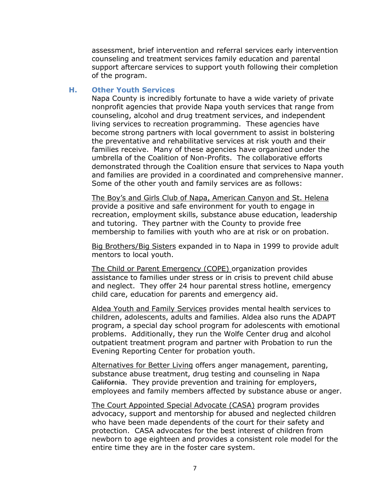assessment, brief intervention and referral services early intervention counseling and treatment services family education and parental support aftercare services to support youth following their completion of the program.

#### <span id="page-8-0"></span>**H. Other Youth Services**

Napa County is incredibly fortunate to have a wide variety of private nonprofit agencies that provide Napa youth services that range from counseling, alcohol and drug treatment services, and independent living services to recreation programming. These agencies have become strong partners with local government to assist in bolstering the preventative and rehabilitative services at risk youth and their families receive. Many of these agencies have organized under the umbrella of the Coalition of Non-Profits. The collaborative efforts demonstrated through the Coalition ensure that services to Napa youth and families are provided in a coordinated and comprehensive manner. Some of the other youth and family services are as follows:

The Boy's and Girls Club of Napa, American Canyon and St. Helena provide a positive and safe environment for youth to engage in recreation, employment skills, substance abuse education, leadership and tutoring. They partner with the County to provide free membership to families with youth who are at risk or on probation.

Big Brothers/Big Sisters expanded in to Napa in 1999 to provide adult mentors to local youth.

The Child or Parent Emergency (COPE) organization provides assistance to families under stress or in crisis to prevent child abuse and neglect. They offer 24 hour parental stress hotline, emergency child care, education for parents and emergency aid.

Aldea Youth and Family Services provides mental health services to children, adolescents, adults and families. Aldea also runs the ADAPT program, a special day school program for adolescents with emotional problems. Additionally, they run the Wolfe Center drug and alcohol outpatient treatment program and partner with Probation to run the Evening Reporting Center for probation youth.

Alternatives for Better Living offers anger management, parenting, substance abuse treatment, drug testing and counseling in Napa California. They provide prevention and training for employers, employees and family members affected by substance abuse or anger.

The Court Appointed Special Advocate (CASA) program provides advocacy, support and mentorship for abused and neglected children who have been made dependents of the court for their safety and protection. CASA advocates for the best interest of children from newborn to age eighteen and provides a consistent role model for the entire time they are in the foster care system.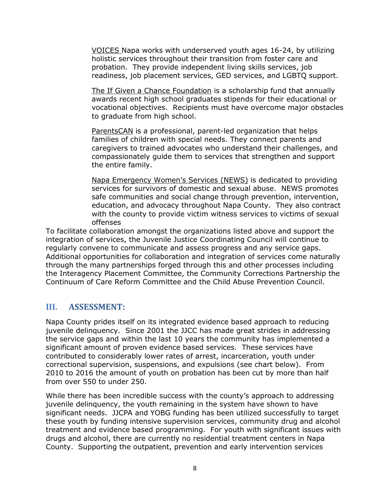VOICES Napa works with underserved youth ages 16-24, by utilizing holistic services throughout their transition from foster care and probation. They provide independent living skills services, job readiness, job placement services, GED services, and LGBTQ support.

The If Given a Chance Foundation is a scholarship fund that annually awards recent high school graduates stipends for their educational or vocational objectives. Recipients must have overcome major obstacles to graduate from high school.

ParentsCAN is a professional, parent-led organization that helps families of children with special needs. They connect parents and caregivers to trained advocates who understand their challenges, and compassionately guide them to services that strengthen and support the entire family.

Napa Emergency Women's Services (NEWS) is dedicated to providing services for survivors of domestic and sexual abuse. NEWS promotes safe communities and social change through prevention, intervention, education, and advocacy throughout Napa County. They also contract with the county to provide victim witness services to victims of sexual offenses

To facilitate collaboration amongst the organizations listed above and support the integration of services, the Juvenile Justice Coordinating Council will continue to regularly convene to communicate and assess progress and any service gaps. Additional opportunities for collaboration and integration of services come naturally through the many partnerships forged through this and other processes including the Interagency Placement Committee, the Community Corrections Partnership the Continuum of Care Reform Committee and the Child Abuse Prevention Council.

#### <span id="page-9-0"></span>**III. ASSESSMENT:**

Napa County prides itself on its integrated evidence based approach to reducing juvenile delinquency. Since 2001 the JJCC has made great strides in addressing the service gaps and within the last 10 years the community has implemented a significant amount of proven evidence based services. These services have contributed to considerably lower rates of arrest, incarceration, youth under correctional supervision, suspensions, and expulsions (see chart below). From 2010 to 2016 the amount of youth on probation has been cut by more than half from over 550 to under 250.

While there has been incredible success with the county's approach to addressing juvenile delinquency, the youth remaining in the system have shown to have significant needs. JJCPA and YOBG funding has been utilized successfully to target these youth by funding intensive supervision services, community drug and alcohol treatment and evidence based programming. For youth with significant issues with drugs and alcohol, there are currently no residential treatment centers in Napa County. Supporting the outpatient, prevention and early intervention services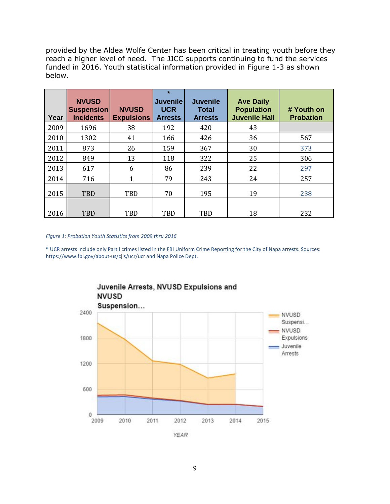provided by the Aldea Wolfe Center has been critical in treating youth before they reach a higher level of need. The JJCC supports continuing to fund the services funded in 2016. Youth statistical information provided in Figure 1-3 as shown below.

| Year | <b>NVUSD</b><br><b>Suspension</b><br><b>Incidents</b> | <b>NVUSD</b><br><b>Expulsions</b> | $\star$<br><b>Juvenile</b><br><b>UCR</b><br><b>Arrests</b> | <b>Juvenile</b><br><b>Total</b><br><b>Arrests</b> | <b>Ave Daily</b><br><b>Population</b><br><b>Juvenile Hall</b> | # Youth on<br><b>Probation</b> |
|------|-------------------------------------------------------|-----------------------------------|------------------------------------------------------------|---------------------------------------------------|---------------------------------------------------------------|--------------------------------|
| 2009 | 1696                                                  | 38                                | 192                                                        | 420                                               | 43                                                            |                                |
| 2010 | 1302                                                  | 41                                | 166                                                        | 426                                               | 36                                                            | 567                            |
| 2011 | 873                                                   | 26                                | 159                                                        | 367                                               | 30                                                            | 373                            |
| 2012 | 849                                                   | 13                                | 118                                                        | 322                                               | 25                                                            | 306                            |
| 2013 | 617                                                   | 6                                 | 86                                                         | 239                                               | 22                                                            | 297                            |
| 2014 | 716                                                   | 1                                 | 79                                                         | 243                                               | 24                                                            | 257                            |
| 2015 | <b>TBD</b>                                            | TBD                               | 70                                                         | 195                                               | 19                                                            | 238                            |
| 2016 | <b>TBD</b>                                            | TBD                               | <b>TBD</b>                                                 | TBD                                               | 18                                                            | 232                            |

*Figure 1: Probation Youth Statistics from 2009 thru 2016*

\* UCR arrests include only Part I crimes listed in the FBI Uniform Crime Reporting for the City of Napa arrests. Sources: https://www.fbi.gov/about-us/cjis/ucr/ucr and Napa Police Dept.

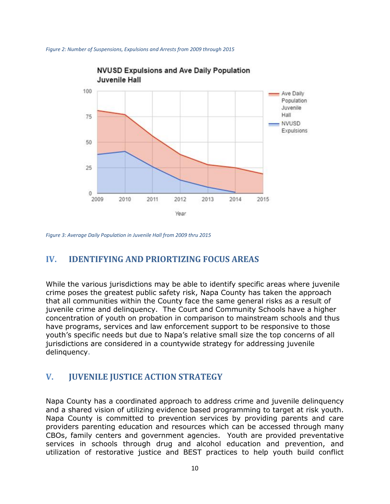



*Figure 3: Average Daily Population in Juvenile Hall from 2009 thru 2015*

## <span id="page-11-0"></span>**IV. IDENTIFYING AND PRIORTIZING FOCUS AREAS**

While the various jurisdictions may be able to identify specific areas where juvenile crime poses the greatest public safety risk, Napa County has taken the approach that all communities within the County face the same general risks as a result of juvenile crime and delinquency. The Court and Community Schools have a higher concentration of youth on probation in comparison to mainstream schools and thus have programs, services and law enforcement support to be responsive to those youth's specific needs but due to Napa's relative small size the top concerns of all jurisdictions are considered in a countywide strategy for addressing juvenile delinquency.

#### <span id="page-11-1"></span>**V. JUVENILE JUSTICE ACTION STRATEGY**

Napa County has a coordinated approach to address crime and juvenile delinquency and a shared vision of utilizing evidence based programming to target at risk youth. Napa County is committed to prevention services by providing parents and care providers parenting education and resources which can be accessed through many CBOs, family centers and government agencies. Youth are provided preventative services in schools through drug and alcohol education and prevention, and utilization of restorative justice and BEST practices to help youth build conflict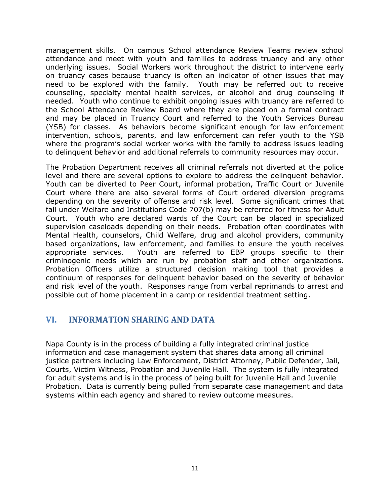management skills. On campus School attendance Review Teams review school attendance and meet with youth and families to address truancy and any other underlying issues. Social Workers work throughout the district to intervene early on truancy cases because truancy is often an indicator of other issues that may need to be explored with the family. Youth may be referred out to receive counseling, specialty mental health services, or alcohol and drug counseling if needed. Youth who continue to exhibit ongoing issues with truancy are referred to the School Attendance Review Board where they are placed on a formal contract and may be placed in Truancy Court and referred to the Youth Services Bureau (YSB) for classes. As behaviors become significant enough for law enforcement intervention, schools, parents, and law enforcement can refer youth to the YSB where the program's social worker works with the family to address issues leading to delinquent behavior and additional referrals to community resources may occur.

The Probation Department receives all criminal referrals not diverted at the police level and there are several options to explore to address the delinquent behavior. Youth can be diverted to Peer Court, informal probation, Traffic Court or Juvenile Court where there are also several forms of Court ordered diversion programs depending on the severity of offense and risk level. Some significant crimes that fall under Welfare and Institutions Code 707(b) may be referred for fitness for Adult Court. Youth who are declared wards of the Court can be placed in specialized supervision caseloads depending on their needs. Probation often coordinates with Mental Health, counselors, Child Welfare, drug and alcohol providers, community based organizations, law enforcement, and families to ensure the youth receives appropriate services. Youth are referred to EBP groups specific to their criminogenic needs which are run by probation staff and other organizations. Probation Officers utilize a structured decision making tool that provides a continuum of responses for delinquent behavior based on the severity of behavior and risk level of the youth. Responses range from verbal reprimands to arrest and possible out of home placement in a camp or residential treatment setting.

## <span id="page-12-0"></span>**VI. INFORMATION SHARING AND DATA**

Napa County is in the process of building a fully integrated criminal justice information and case management system that shares data among all criminal justice partners including Law Enforcement, District Attorney, Public Defender, Jail, Courts, Victim Witness, Probation and Juvenile Hall. The system is fully integrated for adult systems and is in the process of being built for Juvenile Hall and Juvenile Probation. Data is currently being pulled from separate case management and data systems within each agency and shared to review outcome measures.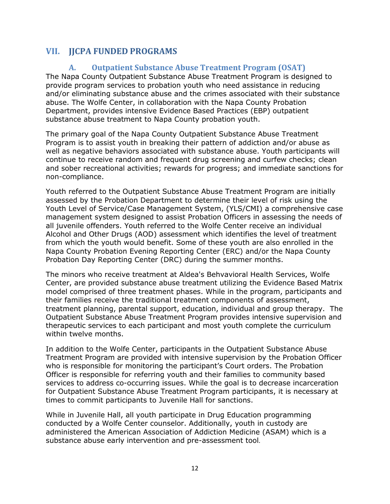# <span id="page-13-1"></span><span id="page-13-0"></span>**VII. JJCPA FUNDED PROGRAMS**

#### **A. Outpatient Substance Abuse Treatment Program (OSAT)**

The Napa County Outpatient Substance Abuse Treatment Program is designed to provide program services to probation youth who need assistance in reducing and/or eliminating substance abuse and the crimes associated with their substance abuse. The Wolfe Center, in collaboration with the Napa County Probation Department, provides intensive Evidence Based Practices (EBP) outpatient substance abuse treatment to Napa County probation youth.

The primary goal of the Napa County Outpatient Substance Abuse Treatment Program is to assist youth in breaking their pattern of addiction and/or abuse as well as negative behaviors associated with substance abuse. Youth participants will continue to receive random and frequent drug screening and curfew checks; clean and sober recreational activities; rewards for progress; and immediate sanctions for non-compliance.

Youth referred to the Outpatient Substance Abuse Treatment Program are initially assessed by the Probation Department to determine their level of risk using the Youth Level of Service/Case Management System, (YLS/CMI) a comprehensive case management system designed to assist Probation Officers in assessing the needs of all juvenile offenders. Youth referred to the Wolfe Center receive an individual Alcohol and Other Drugs (AOD) assessment which identifies the level of treatment from which the youth would benefit. Some of these youth are also enrolled in the Napa County Probation Evening Reporting Center (ERC) and/or the Napa County Probation Day Reporting Center (DRC) during the summer months.

The minors who receive treatment at Aldea's Behvavioral Health Services, Wolfe Center, are provided substance abuse treatment utilizing the Evidence Based Matrix model comprised of three treatment phases. While in the program, participants and their families receive the traditional treatment components of assessment, treatment planning, parental support, education, individual and group therapy. The Outpatient Substance Abuse Treatment Program provides intensive supervision and therapeutic services to each participant and most youth complete the curriculum within twelve months.

In addition to the Wolfe Center, participants in the Outpatient Substance Abuse Treatment Program are provided with intensive supervision by the Probation Officer who is responsible for monitoring the participant's Court orders. The Probation Officer is responsible for referring youth and their families to community based services to address co-occurring issues. While the goal is to decrease incarceration for Outpatient Substance Abuse Treatment Program participants, it is necessary at times to commit participants to Juvenile Hall for sanctions.

While in Juvenile Hall, all youth participate in Drug Education programming conducted by a Wolfe Center counselor. Additionally, youth in custody are administered the American Association of Addiction Medicine (ASAM) which is a substance abuse early intervention and pre-assessment tool.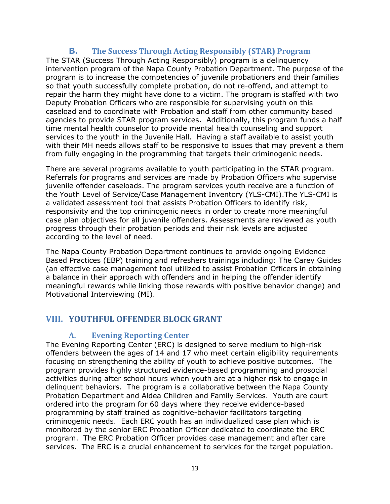#### **B. The Success Through Acting Responsibly (STAR) Program**

<span id="page-14-0"></span>The STAR (Success Through Acting Responsibly) program is a delinquency intervention program of the Napa County Probation Department. The purpose of the program is to increase the competencies of juvenile probationers and their families so that youth successfully complete probation, do not re-offend, and attempt to repair the harm they might have done to a victim. The program is staffed with two Deputy Probation Officers who are responsible for supervising youth on this caseload and to coordinate with Probation and staff from other community based agencies to provide STAR program services. Additionally, this program funds a half time mental health counselor to provide mental health counseling and support services to the youth in the Juvenile Hall. Having a staff available to assist youth with their MH needs allows staff to be responsive to issues that may prevent a them from fully engaging in the programming that targets their criminogenic needs.

There are several programs available to youth participating in the STAR program. Referrals for programs and services are made by Probation Officers who supervise juvenile offender caseloads. The program services youth receive are a function of the Youth Level of Service/Case Management Inventory (YLS-CMI).The YLS-CMI is a validated assessment tool that assists Probation Officers to identify risk, responsivity and the top criminogenic needs in order to create more meaningful case plan objectives for all juvenile offenders. Assessments are reviewed as youth progress through their probation periods and their risk levels are adjusted according to the level of need.

The Napa County Probation Department continues to provide ongoing Evidence Based Practices (EBP) training and refreshers trainings including: The Carey Guides (an effective case management tool utilized to assist Probation Officers in obtaining a balance in their approach with offenders and in helping the offender identify meaningful rewards while linking those rewards with positive behavior change) and Motivational Interviewing (MI).

# <span id="page-14-2"></span><span id="page-14-1"></span>**VIII. YOUTHFUL OFFENDER BLOCK GRANT**

#### **A. Evening Reporting Center**

The Evening Reporting Center (ERC) is designed to serve medium to high-risk offenders between the ages of 14 and 17 who meet certain eligibility requirements focusing on strengthening the ability of youth to achieve positive outcomes. The program provides highly structured evidence-based programming and prosocial activities during after school hours when youth are at a higher risk to engage in delinquent behaviors. The program is a collaborative between the Napa County Probation Department and Aldea Children and Family Services. Youth are court ordered into the program for 60 days where they receive evidence-based programming by staff trained as cognitive-behavior facilitators targeting criminogenic needs. Each ERC youth has an individualized case plan which is monitored by the senior ERC Probation Officer dedicated to coordinate the ERC program. The ERC Probation Officer provides case management and after care services. The ERC is a crucial enhancement to services for the target population.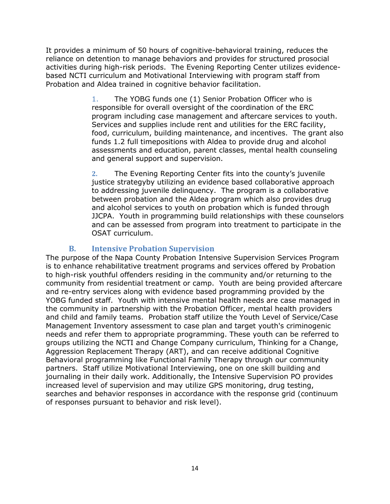It provides a minimum of 50 hours of cognitive-behavioral training, reduces the reliance on detention to manage behaviors and provides for structured prosocial activities during high-risk periods. The Evening Reporting Center utilizes evidencebased NCTI curriculum and Motivational Interviewing with program staff from Probation and Aldea trained in cognitive behavior facilitation.

> 1. The YOBG funds one (1) Senior Probation Officer who is responsible for overall oversight of the coordination of the ERC program including case management and aftercare services to youth. Services and supplies include rent and utilities for the ERC facility, food, curriculum, building maintenance, and incentives. The grant also funds 1.2 full timepositions with Aldea to provide drug and alcohol assessments and education, parent classes, mental health counseling and general support and supervision.

> **2.** The Evening Reporting Center fits into the county's juvenile justice strategyby utilizing an evidence based collaborative approach to addressing juvenile delinquency. The program is a collaborative between probation and the Aldea program which also provides drug and alcohol services to youth on probation which is funded through JJCPA. Youth in programming build relationships with these counselors and can be assessed from program into treatment to participate in the OSAT curriculum.

#### **B. Intensive Probation Supervision**

<span id="page-15-0"></span>The purpose of the Napa County Probation Intensive Supervision Services Program is to enhance rehabilitative treatment programs and services offered by Probation to high-risk youthful offenders residing in the community and/or returning to the community from residential treatment or camp. Youth are being provided aftercare and re-entry services along with evidence based programming provided by the YOBG funded staff. Youth with intensive mental health needs are case managed in the community in partnership with the Probation Officer, mental health providers and child and family teams. Probation staff utilize the Youth Level of Service/Case Management Inventory assessment to case plan and target youth's criminogenic needs and refer them to appropriate programming. These youth can be referred to groups utilizing the NCTI and Change Company curriculum, Thinking for a Change, Aggression Replacement Therapy (ART), and can receive additional Cognitive Behavioral programming like Functional Family Therapy through our community partners. Staff utilize Motivational Interviewing, one on one skill building and journaling in their daily work. Additionally, the Intensive Supervision PO provides increased level of supervision and may utilize GPS monitoring, drug testing, searches and behavior responses in accordance with the response grid (continuum of responses pursuant to behavior and risk level).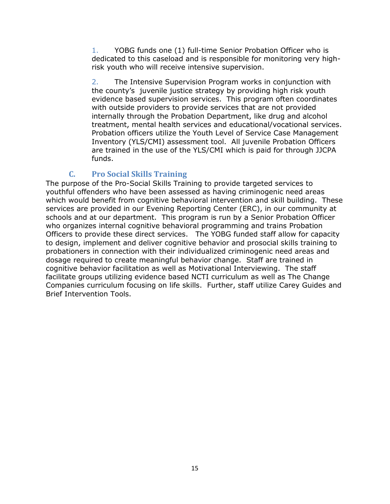1. YOBG funds one (1) full-time Senior Probation Officer who is dedicated to this caseload and is responsible for monitoring very highrisk youth who will receive intensive supervision.

2. The Intensive Supervision Program works in conjunction with the county's juvenile justice strategy by providing high risk youth evidence based supervision services. This program often coordinates with outside providers to provide services that are not provided internally through the Probation Department, like drug and alcohol treatment, mental health services and educational/vocational services. Probation officers utilize the Youth Level of Service Case Management Inventory (YLS/CMI) assessment tool. All juvenile Probation Officers are trained in the use of the YLS/CMI which is paid for through JJCPA funds.

#### **C. Pro Social Skills Training**

<span id="page-16-0"></span>The purpose of the Pro-Social Skills Training to provide targeted services to youthful offenders who have been assessed as having criminogenic need areas which would benefit from cognitive behavioral intervention and skill building. These services are provided in our Evening Reporting Center (ERC), in our community at schools and at our department. This program is run by a Senior Probation Officer who organizes internal cognitive behavioral programming and trains Probation Officers to provide these direct services. The YOBG funded staff allow for capacity to design, implement and deliver cognitive behavior and prosocial skills training to probationers in connection with their individualized criminogenic need areas and dosage required to create meaningful behavior change. Staff are trained in cognitive behavior facilitation as well as Motivational Interviewing. The staff facilitate groups utilizing evidence based NCTI curriculum as well as The Change Companies curriculum focusing on life skills. Further, staff utilize Carey Guides and Brief Intervention Tools.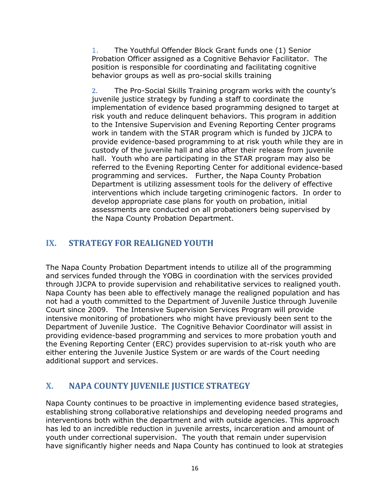1. The Youthful Offender Block Grant funds one (1) Senior Probation Officer assigned as a Cognitive Behavior Facilitator. The position is responsible for coordinating and facilitating cognitive behavior groups as well as pro-social skills training

**2.** The Pro-Social Skills Training program works with the county's juvenile justice strategy by funding a staff to coordinate the implementation of evidence based programming designed to target at risk youth and reduce delinquent behaviors. This program in addition to the Intensive Supervision and Evening Reporting Center programs work in tandem with the STAR program which is funded by JJCPA to provide evidence-based programming to at risk youth while they are in custody of the juvenile hall and also after their release from juvenile hall. Youth who are participating in the STAR program may also be referred to the Evening Reporting Center for additional evidence-based programming and services. Further, the Napa County Probation Department is utilizing assessment tools for the delivery of effective interventions which include targeting criminogenic factors. In order to develop appropriate case plans for youth on probation, initial assessments are conducted on all probationers being supervised by the Napa County Probation Department.

# <span id="page-17-0"></span>**IX. STRATEGY FOR REALIGNED YOUTH**

The Napa County Probation Department intends to utilize all of the programming and services funded through the YOBG in coordination with the services provided through JJCPA to provide supervision and rehabilitative services to realigned youth. Napa County has been able to effectively manage the realigned population and has not had a youth committed to the Department of Juvenile Justice through Juvenile Court since 2009. The Intensive Supervision Services Program will provide intensive monitoring of probationers who might have previously been sent to the Department of Juvenile Justice. The Cognitive Behavior Coordinator will assist in providing evidence-based programming and services to more probation youth and the Evening Reporting Center (ERC) provides supervision to at-risk youth who are either entering the Juvenile Justice System or are wards of the Court needing additional support and services.

# <span id="page-17-1"></span>**X. NAPA COUNTY JUVENILE JUSTICE STRATEGY**

Napa County continues to be proactive in implementing evidence based strategies, establishing strong collaborative relationships and developing needed programs and interventions both within the department and with outside agencies. This approach has led to an incredible reduction in juvenile arrests, incarceration and amount of youth under correctional supervision. The youth that remain under supervision have significantly higher needs and Napa County has continued to look at strategies